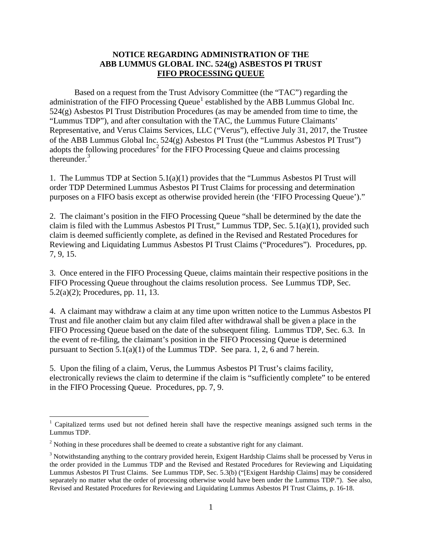## **NOTICE REGARDING ADMINISTRATION OF THE ABB LUMMUS GLOBAL INC. 524(g) ASBESTOS PI TRUST FIFO PROCESSING QUEUE**

Based on a request from the Trust Advisory Committee (the "TAC") regarding the administration of the FIFO Processing Queue<sup>[1](#page-0-0)</sup> established by the ABB Lummus Global Inc. 524(g) Asbestos PI Trust Distribution Procedures (as may be amended from time to time, the "Lummus TDP"), and after consultation with the TAC, the Lummus Future Claimants' Representative, and Verus Claims Services, LLC ("Verus"), effective July 31, 2017, the Trustee of the ABB Lummus Global Inc. 524(g) Asbestos PI Trust (the "Lummus Asbestos PI Trust") adopts the following procedures<sup>[2](#page-0-1)</sup> for the FIFO Processing Queue and claims processing thereunder $3$ 

1. The Lummus TDP at Section 5.1(a)(1) provides that the "Lummus Asbestos PI Trust will order TDP Determined Lummus Asbestos PI Trust Claims for processing and determination purposes on a FIFO basis except as otherwise provided herein (the 'FIFO Processing Queue')."

2. The claimant's position in the FIFO Processing Queue "shall be determined by the date the claim is filed with the Lummus Asbestos PI Trust," Lummus TDP, Sec. 5.1(a)(1), provided such claim is deemed sufficiently complete, as defined in the Revised and Restated Procedures for Reviewing and Liquidating Lummus Asbestos PI Trust Claims ("Procedures"). Procedures, pp. 7, 9, 15.

3. Once entered in the FIFO Processing Queue, claims maintain their respective positions in the FIFO Processing Queue throughout the claims resolution process. See Lummus TDP, Sec. 5.2(a)(2); Procedures, pp. 11, 13.

4. A claimant may withdraw a claim at any time upon written notice to the Lummus Asbestos PI Trust and file another claim but any claim filed after withdrawal shall be given a place in the FIFO Processing Queue based on the date of the subsequent filing. Lummus TDP, Sec. 6.3. In the event of re-filing, the claimant's position in the FIFO Processing Queue is determined pursuant to Section  $5.1(a)(1)$  of the Lummus TDP. See para. 1, 2, 6 and 7 herein.

5. Upon the filing of a claim, Verus, the Lummus Asbestos PI Trust's claims facility, electronically reviews the claim to determine if the claim is "sufficiently complete" to be entered in the FIFO Processing Queue. Procedures, pp. 7, 9.

<span id="page-0-0"></span><sup>&</sup>lt;sup>1</sup> Capitalized terms used but not defined herein shall have the respective meanings assigned such terms in the Lummus TDP.

<span id="page-0-1"></span><sup>&</sup>lt;sup>2</sup> Nothing in these procedures shall be deemed to create a substantive right for any claimant.

<span id="page-0-2"></span><sup>&</sup>lt;sup>3</sup> Notwithstanding anything to the contrary provided herein, Exigent Hardship Claims shall be processed by Verus in the order provided in the Lummus TDP and the Revised and Restated Procedures for Reviewing and Liquidating Lummus Asbestos PI Trust Claims. See Lummus TDP, Sec. 5.3(b) ("[Exigent Hardship Claims] may be considered separately no matter what the order of processing otherwise would have been under the Lummus TDP."). See also, Revised and Restated Procedures for Reviewing and Liquidating Lummus Asbestos PI Trust Claims, p. 16-18.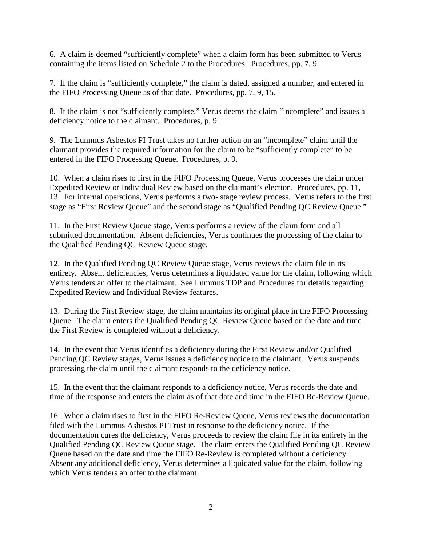6. A claim is deemed "sufficiently complete" when a claim form has been submitted to Verus containing the items listed on Schedule 2 to the Procedures. Procedures, pp. 7, 9.

7. If the claim is "sufficiently complete," the claim is dated, assigned a number, and entered in the FIFO Processing Queue as of that date. Procedures, pp. 7, 9, 15.

8. If the claim is not "sufficiently complete," Verus deems the claim "incomplete" and issues a deficiency notice to the claimant. Procedures, p. 9.

9. The Lummus Asbestos PI Trust takes no further action on an "incomplete" claim until the claimant provides the required information for the claim to be "sufficiently complete" to be entered in the FIFO Processing Queue. Procedures, p. 9.

10. When a claim rises to first in the FIFO Processing Queue, Verus processes the claim under Expedited Review or Individual Review based on the claimant's election. Procedures, pp. 11, 13. For internal operations, Verus performs a two- stage review process. Verus refers to the first stage as "First Review Queue" and the second stage as "Qualified Pending QC Review Queue."

11. In the First Review Queue stage, Verus performs a review of the claim form and all submitted documentation. Absent deficiencies, Verus continues the processing of the claim to the Qualified Pending QC Review Queue stage.

12. In the Qualified Pending QC Review Queue stage, Verus reviews the claim file in its entirety. Absent deficiencies, Verus determines a liquidated value for the claim, following which Verus tenders an offer to the claimant. See Lummus TDP and Procedures for details regarding Expedited Review and Individual Review features.

13. During the First Review stage, the claim maintains its original place in the FIFO Processing Queue. The claim enters the Qualified Pending QC Review Queue based on the date and time the First Review is completed without a deficiency.

14. In the event that Verus identifies a deficiency during the First Review and/or Qualified Pending QC Review stages, Verus issues a deficiency notice to the claimant. Verus suspends processing the claim until the claimant responds to the deficiency notice.

15. In the event that the claimant responds to a deficiency notice, Verus records the date and time of the response and enters the claim as of that date and time in the FIFO Re-Review Queue.

16. When a claim rises to first in the FIFO Re-Review Queue, Verus reviews the documentation filed with the Lummus Asbestos PI Trust in response to the deficiency notice. If the documentation cures the deficiency, Verus proceeds to review the claim file in its entirety in the Qualified Pending QC Review Queue stage. The claim enters the Qualified Pending QC Review Queue based on the date and time the FIFO Re-Review is completed without a deficiency. Absent any additional deficiency, Verus determines a liquidated value for the claim, following which Verus tenders an offer to the claimant.